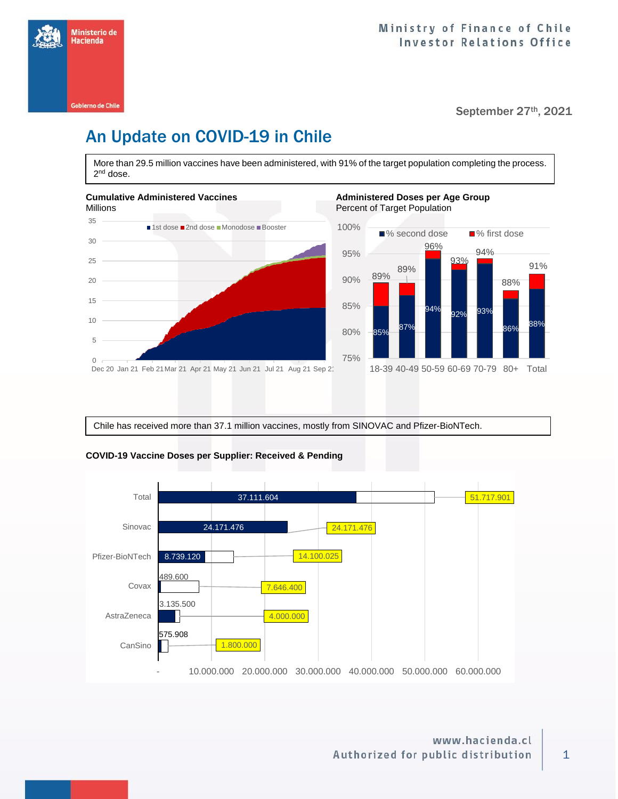

#### September 27th, 2021

# An Update on COVID-19 in Chile

More than 29.5 million vaccines have been administered, with 91% of the target population completing the process. 2<sup>nd</sup> dose.





Chile has received more than 37.1 million vaccines, mostly from SINOVAC and Pfizer-BioNTech.



#### **COVID-19 Vaccine Doses per Supplier: Received & Pending**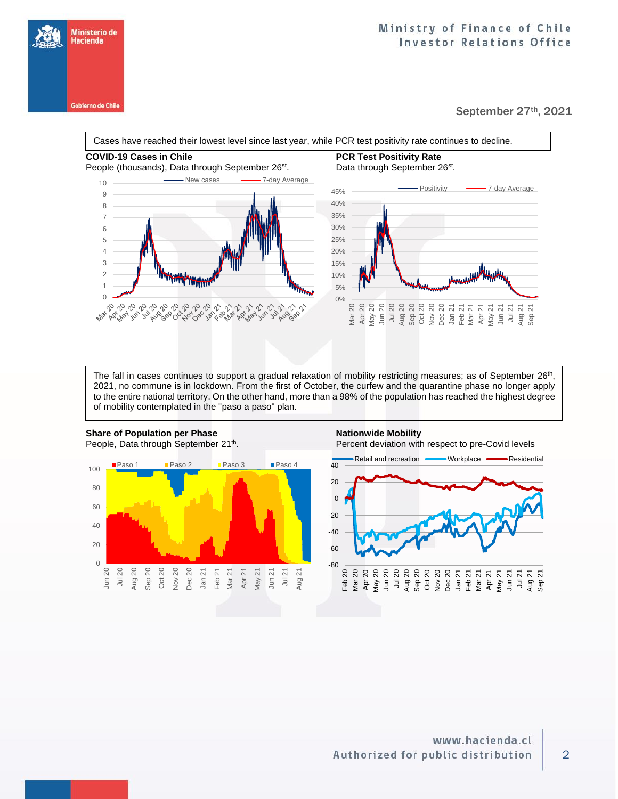**Gobierno de Chile** 

Ministerio de Hacienda

#### September 27th, 2021

**COVID-19 Cases in Chile PCR Test Positivity Rate**  Cases have reached their lowest level since last year, while PCR test positivity rate continues to decline.

### People (thousands), Data through September 26<sup>st</sup>.



## . Data through September 26<sup>st</sup>.



The fall in cases continues to support a gradual relaxation of mobility restricting measures; as of September 26<sup>th</sup>, 2021, no commune is in lockdown. From the first of October, the curfew and the quarantine phase no longer apply to the entire national territory. On the other hand, more than a 98% of the population has reached the highest degree of mobility contemplated in the "paso a paso" plan.



## . Percent deviation with respect to pre-Covid levels